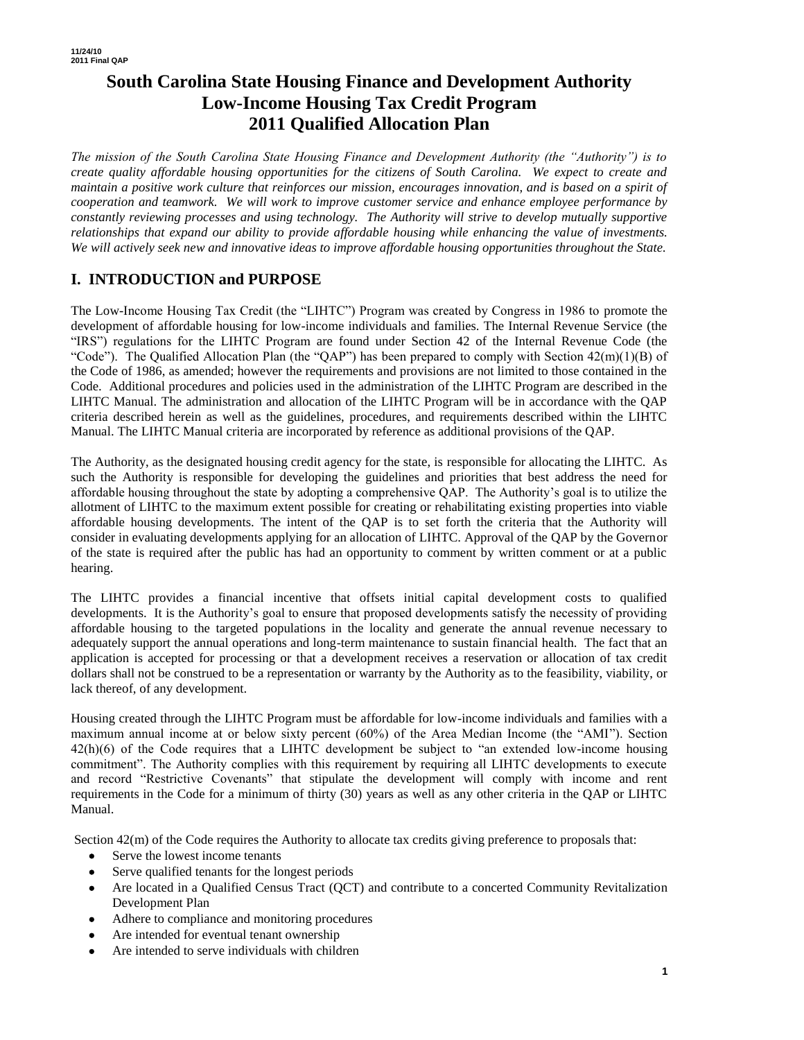# **South Carolina State Housing Finance and Development Authority Low-Income Housing Tax Credit Program 2011 Qualified Allocation Plan**

*The mission of the South Carolina State Housing Finance and Development Authority (the "Authority") is to create quality affordable housing opportunities for the citizens of South Carolina. We expect to create and maintain a positive work culture that reinforces our mission, encourages innovation, and is based on a spirit of cooperation and teamwork. We will work to improve customer service and enhance employee performance by constantly reviewing processes and using technology. The Authority will strive to develop mutually supportive relationships that expand our ability to provide affordable housing while enhancing the value of investments. We will actively seek new and innovative ideas to improve affordable housing opportunities throughout the State.*

# **I. INTRODUCTION and PURPOSE**

The Low-Income Housing Tax Credit (the "LIHTC") Program was created by Congress in 1986 to promote the development of affordable housing for low-income individuals and families. The Internal Revenue Service (the "IRS") regulations for the LIHTC Program are found under Section 42 of the Internal Revenue Code (the "Code"). The Qualified Allocation Plan (the "QAP") has been prepared to comply with Section  $42(m)(1)(B)$  of the Code of 1986, as amended; however the requirements and provisions are not limited to those contained in the Code. Additional procedures and policies used in the administration of the LIHTC Program are described in the LIHTC Manual. The administration and allocation of the LIHTC Program will be in accordance with the QAP criteria described herein as well as the guidelines, procedures, and requirements described within the LIHTC Manual. The LIHTC Manual criteria are incorporated by reference as additional provisions of the QAP.

The Authority, as the designated housing credit agency for the state, is responsible for allocating the LIHTC. As such the Authority is responsible for developing the guidelines and priorities that best address the need for affordable housing throughout the state by adopting a comprehensive QAP. The Authority's goal is to utilize the allotment of LIHTC to the maximum extent possible for creating or rehabilitating existing properties into viable affordable housing developments. The intent of the QAP is to set forth the criteria that the Authority will consider in evaluating developments applying for an allocation of LIHTC. Approval of the QAP by the Governor of the state is required after the public has had an opportunity to comment by written comment or at a public hearing.

The LIHTC provides a financial incentive that offsets initial capital development costs to qualified developments. It is the Authority's goal to ensure that proposed developments satisfy the necessity of providing affordable housing to the targeted populations in the locality and generate the annual revenue necessary to adequately support the annual operations and long-term maintenance to sustain financial health. The fact that an application is accepted for processing or that a development receives a reservation or allocation of tax credit dollars shall not be construed to be a representation or warranty by the Authority as to the feasibility, viability, or lack thereof, of any development.

Housing created through the LIHTC Program must be affordable for low-income individuals and families with a maximum annual income at or below sixty percent (60%) of the Area Median Income (the "AMI"). Section 42(h)(6) of the Code requires that a LIHTC development be subject to "an extended low-income housing commitment". The Authority complies with this requirement by requiring all LIHTC developments to execute and record "Restrictive Covenants" that stipulate the development will comply with income and rent requirements in the Code for a minimum of thirty (30) years as well as any other criteria in the QAP or LIHTC Manual.

Section  $42(m)$  of the Code requires the Authority to allocate tax credits giving preference to proposals that:

- Serve the lowest income tenants
- Serve qualified tenants for the longest periods
- Are located in a Qualified Census Tract (QCT) and contribute to a concerted Community Revitalization Development Plan
- Adhere to compliance and monitoring procedures
- Are intended for eventual tenant ownership
- Are intended to serve individuals with children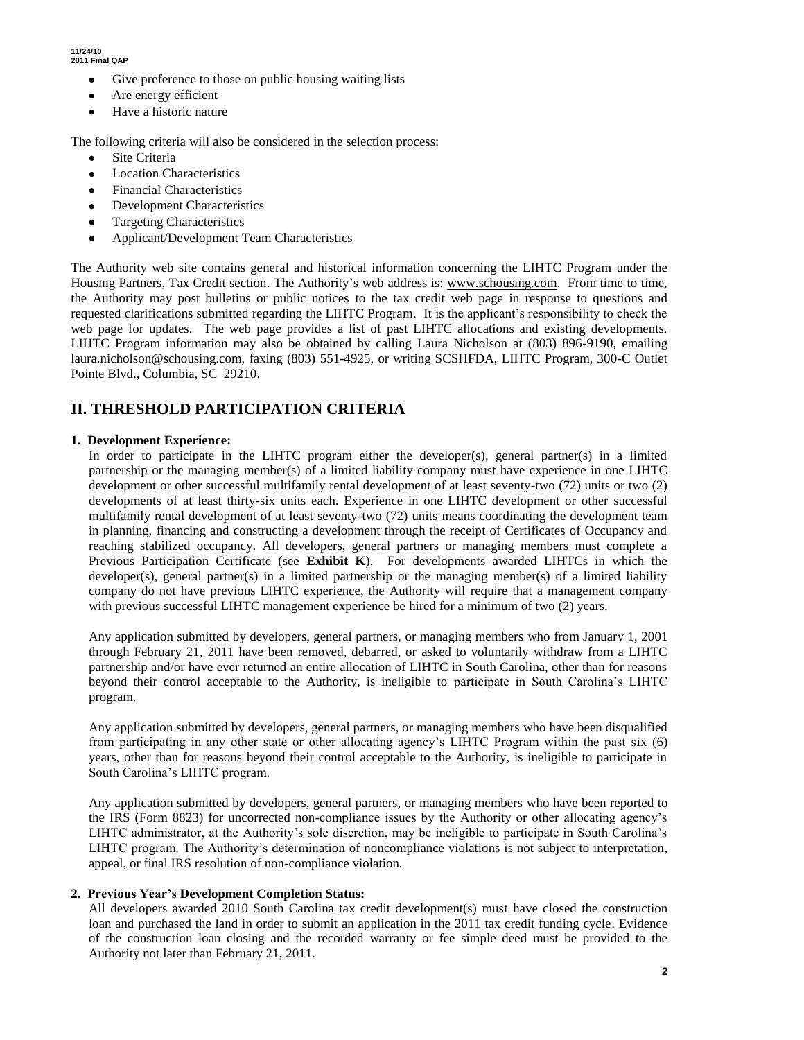- Give preference to those on public housing waiting lists
- Are energy efficient
- Have a historic nature

The following criteria will also be considered in the selection process:

- Site Criteria
- Location Characteristics
- Financial Characteristics
- Development Characteristics
- Targeting Characteristics
- Applicant/Development Team Characteristics

The Authority web site contains general and historical information concerning the LIHTC Program under the Housing Partners, Tax Credit section. The Authority's web address is: www.schousing.com. From time to time, the Authority may post bulletins or public notices to the tax credit web page in response to questions and requested clarifications submitted regarding the LIHTC Program. It is the applicant's responsibility to check the web page for updates. The web page provides a list of past LIHTC allocations and existing developments. LIHTC Program information may also be obtained by calling Laura Nicholson at (803) 896-9190, emailing laura.nicholson@schousing.com, faxing (803) 551-4925, or writing SCSHFDA, LIHTC Program, 300-C Outlet Pointe Blvd., Columbia, SC 29210.

# **II. THRESHOLD PARTICIPATION CRITERIA**

## **1. Development Experience:**

In order to participate in the LIHTC program either the developer(s), general partner(s) in a limited partnership or the managing member(s) of a limited liability company must have experience in one LIHTC development or other successful multifamily rental development of at least seventy-two (72) units or two (2) developments of at least thirty-six units each. Experience in one LIHTC development or other successful multifamily rental development of at least seventy-two (72) units means coordinating the development team in planning, financing and constructing a development through the receipt of Certificates of Occupancy and reaching stabilized occupancy. All developers, general partners or managing members must complete a Previous Participation Certificate (see **Exhibit K**). For developments awarded LIHTCs in which the developer(s), general partner(s) in a limited partnership or the managing member(s) of a limited liability company do not have previous LIHTC experience, the Authority will require that a management company with previous successful LIHTC management experience be hired for a minimum of two (2) years.

Any application submitted by developers, general partners, or managing members who from January 1, 2001 through February 21, 2011 have been removed, debarred, or asked to voluntarily withdraw from a LIHTC partnership and/or have ever returned an entire allocation of LIHTC in South Carolina, other than for reasons beyond their control acceptable to the Authority, is ineligible to participate in South Carolina's LIHTC program.

Any application submitted by developers, general partners, or managing members who have been disqualified from participating in any other state or other allocating agency's LIHTC Program within the past six (6) years, other than for reasons beyond their control acceptable to the Authority, is ineligible to participate in South Carolina's LIHTC program.

Any application submitted by developers, general partners, or managing members who have been reported to the IRS (Form 8823) for uncorrected non-compliance issues by the Authority or other allocating agency's LIHTC administrator, at the Authority's sole discretion, may be ineligible to participate in South Carolina's LIHTC program. The Authority's determination of noncompliance violations is not subject to interpretation, appeal, or final IRS resolution of non-compliance violation.

### **2. Previous Year's Development Completion Status:**

All developers awarded 2010 South Carolina tax credit development(s) must have closed the construction loan and purchased the land in order to submit an application in the 2011 tax credit funding cycle. Evidence of the construction loan closing and the recorded warranty or fee simple deed must be provided to the Authority not later than February 21, 2011.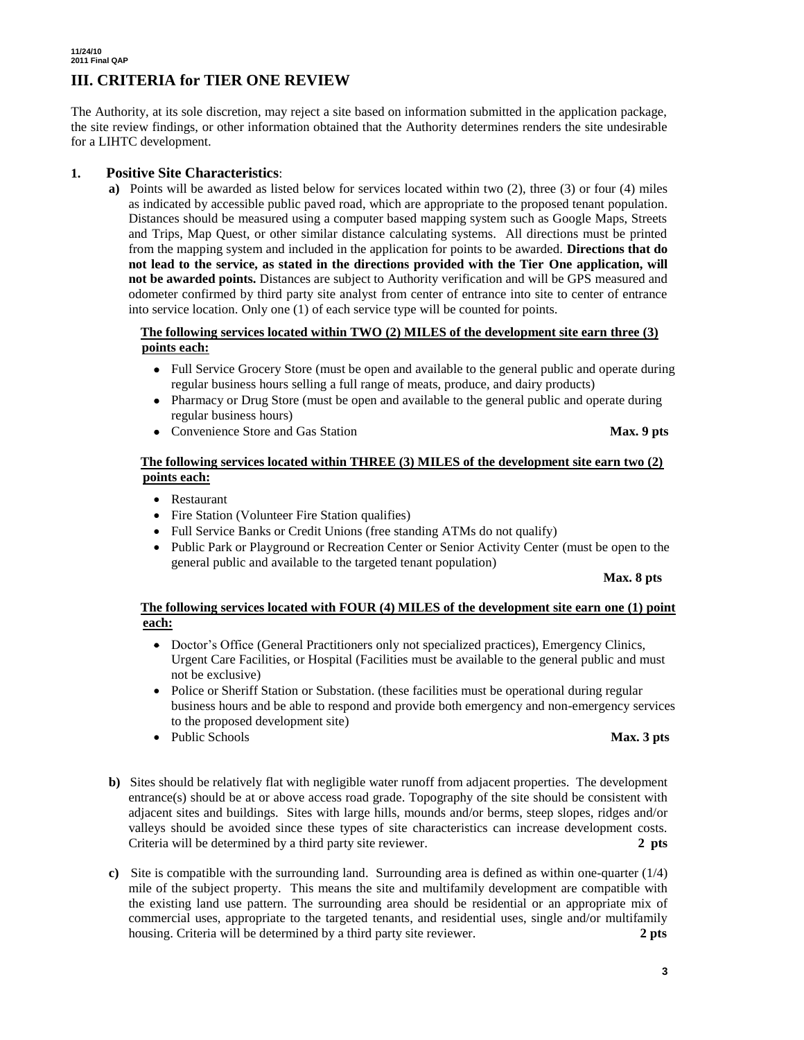# **III. CRITERIA for TIER ONE REVIEW**

The Authority, at its sole discretion, may reject a site based on information submitted in the application package, the site review findings, or other information obtained that the Authority determines renders the site undesirable for a LIHTC development.

## **1. Positive Site Characteristics**:

**a)** Points will be awarded as listed below for services located within two (2), three (3) or four (4) miles as indicated by accessible public paved road, which are appropriate to the proposed tenant population. Distances should be measured using a computer based mapping system such as Google Maps, Streets and Trips, Map Quest, or other similar distance calculating systems. All directions must be printed from the mapping system and included in the application for points to be awarded. **Directions that do not lead to the service, as stated in the directions provided with the Tier One application, will not be awarded points.** Distances are subject to Authority verification and will be GPS measured and odometer confirmed by third party site analyst from center of entrance into site to center of entrance into service location. Only one (1) of each service type will be counted for points.

### **The following services located within TWO (2) MILES of the development site earn three (3) points each:**

- Full Service Grocery Store (must be open and available to the general public and operate during regular business hours selling a full range of meats, produce, and dairy products)
- Pharmacy or Drug Store (must be open and available to the general public and operate during regular business hours)
- Convenience Store and Gas Station **Max. 9 pts**

## **The following services located within THREE (3) MILES of the development site earn two (2) points each:**

- Restaurant
- Fire Station (Volunteer Fire Station qualifies)
- Full Service Banks or Credit Unions (free standing ATMs do not qualify)
- Public Park or Playground or Recreation Center or Senior Activity Center (must be open to the general public and available to the targeted tenant population)

#### **Max. 8 pts**

### **The following services located with FOUR (4) MILES of the development site earn one (1) point each:**

- Doctor's Office (General Practitioners only not specialized practices), Emergency Clinics, Urgent Care Facilities, or Hospital (Facilities must be available to the general public and must not be exclusive)
- Police or Sheriff Station or Substation. (these facilities must be operational during regular business hours and be able to respond and provide both emergency and non-emergency services to the proposed development site)
- Public Schools **Max. 3 pts**
- **b)** Sites should be relatively flat with negligible water runoff from adjacent properties. The development entrance(s) should be at or above access road grade. Topography of the site should be consistent with adjacent sites and buildings. Sites with large hills, mounds and/or berms, steep slopes, ridges and/or valleys should be avoided since these types of site characteristics can increase development costs. Criteria will be determined by a third party site reviewer. **2 pts**
- **c)** Site is compatible with the surrounding land. Surrounding area is defined as within one-quarter (1/4) mile of the subject property. This means the site and multifamily development are compatible with the existing land use pattern. The surrounding area should be residential or an appropriate mix of commercial uses, appropriate to the targeted tenants, and residential uses, single and/or multifamily housing. Criteria will be determined by a third party site reviewer. **2 pts**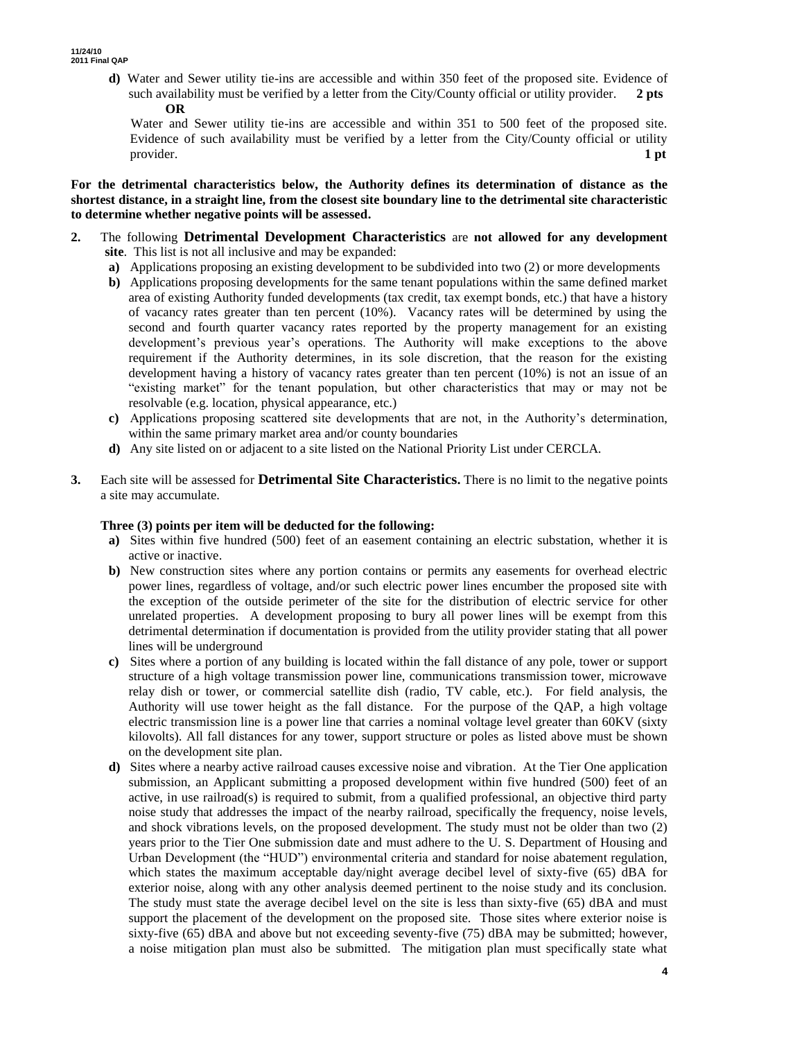**d)** Water and Sewer utility tie-ins are accessible and within 350 feet of the proposed site. Evidence of such availability must be verified by a letter from the City/County official or utility provider. **2 pts OR**

 Water and Sewer utility tie-ins are accessible and within 351 to 500 feet of the proposed site. Evidence of such availability must be verified by a letter from the City/County official or utility provider. **1 pt**

**For the detrimental characteristics below, the Authority defines its determination of distance as the shortest distance, in a straight line, from the closest site boundary line to the detrimental site characteristic to determine whether negative points will be assessed.**

- **2.** The following **Detrimental Development Characteristics** are **not allowed for any development site**. This list is not all inclusive and may be expanded:
	- **a)** Applications proposing an existing development to be subdivided into two (2) or more developments
	- **b)** Applications proposing developments for the same tenant populations within the same defined market area of existing Authority funded developments (tax credit, tax exempt bonds, etc.) that have a history of vacancy rates greater than ten percent (10%). Vacancy rates will be determined by using the second and fourth quarter vacancy rates reported by the property management for an existing development's previous year's operations. The Authority will make exceptions to the above requirement if the Authority determines, in its sole discretion, that the reason for the existing development having a history of vacancy rates greater than ten percent (10%) is not an issue of an "existing market" for the tenant population, but other characteristics that may or may not be resolvable (e.g. location, physical appearance, etc.)
	- **c)** Applications proposing scattered site developments that are not, in the Authority's determination, within the same primary market area and/or county boundaries
	- **d)** Any site listed on or adjacent to a site listed on the National Priority List under CERCLA.
- **3.** Each site will be assessed for **Detrimental Site Characteristics.** There is no limit to the negative points a site may accumulate.

#### **Three (3) points per item will be deducted for the following:**

- **a)** Sites within five hundred (500) feet of an easement containing an electric substation, whether it is active or inactive.
- **b)** New construction sites where any portion contains or permits any easements for overhead electric power lines, regardless of voltage, and/or such electric power lines encumber the proposed site with the exception of the outside perimeter of the site for the distribution of electric service for other unrelated properties. A development proposing to bury all power lines will be exempt from this detrimental determination if documentation is provided from the utility provider stating that all power lines will be underground
- **c)** Sites where a portion of any building is located within the fall distance of any pole, tower or support structure of a high voltage transmission power line, communications transmission tower, microwave relay dish or tower, or commercial satellite dish (radio, TV cable, etc.). For field analysis, the Authority will use tower height as the fall distance. For the purpose of the QAP, a high voltage electric transmission line is a power line that carries a nominal voltage level greater than 60KV (sixty kilovolts). All fall distances for any tower, support structure or poles as listed above must be shown on the development site plan.
- **d)** Sites where a nearby active railroad causes excessive noise and vibration. At the Tier One application submission, an Applicant submitting a proposed development within five hundred (500) feet of an active, in use railroad(s) is required to submit, from a qualified professional, an objective third party noise study that addresses the impact of the nearby railroad, specifically the frequency, noise levels, and shock vibrations levels, on the proposed development. The study must not be older than two (2) years prior to the Tier One submission date and must adhere to the U. S. Department of Housing and Urban Development (the "HUD") environmental criteria and standard for noise abatement regulation, which states the maximum acceptable day/night average decibel level of sixty-five (65) dBA for exterior noise, along with any other analysis deemed pertinent to the noise study and its conclusion. The study must state the average decibel level on the site is less than sixty-five (65) dBA and must support the placement of the development on the proposed site. Those sites where exterior noise is sixty-five (65) dBA and above but not exceeding seventy-five (75) dBA may be submitted; however, a noise mitigation plan must also be submitted. The mitigation plan must specifically state what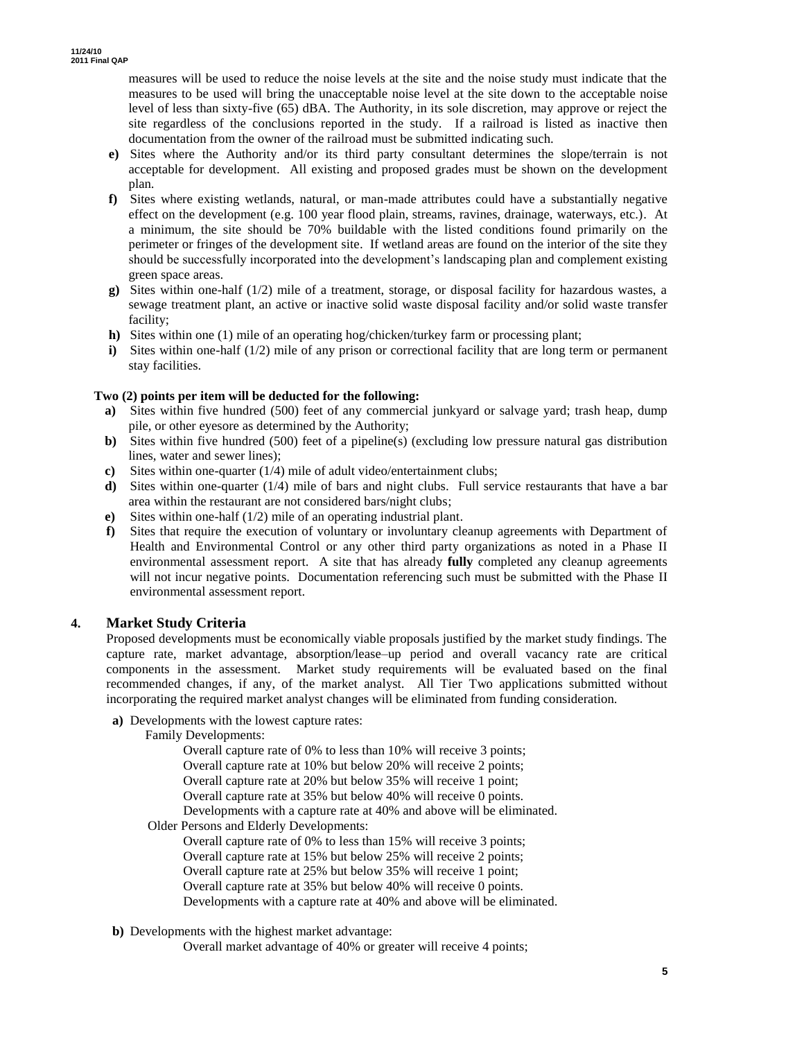measures will be used to reduce the noise levels at the site and the noise study must indicate that the measures to be used will bring the unacceptable noise level at the site down to the acceptable noise level of less than sixty-five (65) dBA. The Authority, in its sole discretion, may approve or reject the site regardless of the conclusions reported in the study. If a railroad is listed as inactive then documentation from the owner of the railroad must be submitted indicating such.

- **e)** Sites where the Authority and/or its third party consultant determines the slope/terrain is not acceptable for development. All existing and proposed grades must be shown on the development plan.
- **f)** Sites where existing wetlands, natural, or man-made attributes could have a substantially negative effect on the development (e.g. 100 year flood plain, streams, ravines, drainage, waterways, etc.). At a minimum, the site should be 70% buildable with the listed conditions found primarily on the perimeter or fringes of the development site. If wetland areas are found on the interior of the site they should be successfully incorporated into the development's landscaping plan and complement existing green space areas.
- **g)** Sites within one-half (1/2) mile of a treatment, storage, or disposal facility for hazardous wastes, a sewage treatment plant, an active or inactive solid waste disposal facility and/or solid waste transfer facility;
- **h)** Sites within one (1) mile of an operating hog/chicken/turkey farm or processing plant;
- **i)** Sites within one-half (1/2) mile of any prison or correctional facility that are long term or permanent stay facilities.

### **Two (2) points per item will be deducted for the following:**

- **a)** Sites within five hundred (500) feet of any commercial junkyard or salvage yard; trash heap, dump pile, or other eyesore as determined by the Authority;
- **b**) Sites within five hundred (500) feet of a pipeline(s) (excluding low pressure natural gas distribution lines, water and sewer lines);
- **c)** Sites within one-quarter (1/4) mile of adult video/entertainment clubs;
- **d)** Sites within one-quarter (1/4) mile of bars and night clubs. Full service restaurants that have a bar area within the restaurant are not considered bars/night clubs;
- **e)** Sites within one-half (1/2) mile of an operating industrial plant.
- **f)** Sites that require the execution of voluntary or involuntary cleanup agreements with Department of Health and Environmental Control or any other third party organizations as noted in a Phase II environmental assessment report. A site that has already **fully** completed any cleanup agreements will not incur negative points. Documentation referencing such must be submitted with the Phase II environmental assessment report.

### **4. Market Study Criteria**

Proposed developments must be economically viable proposals justified by the market study findings. The capture rate, market advantage, absorption/lease–up period and overall vacancy rate are critical components in the assessment. Market study requirements will be evaluated based on the final recommended changes, if any, of the market analyst. All Tier Two applications submitted without incorporating the required market analyst changes will be eliminated from funding consideration.

**a)** Developments with the lowest capture rates:

Overall capture rate of 0% to less than 10% will receive 3 points; Overall capture rate at 10% but below 20% will receive 2 points; Overall capture rate at 20% but below 35% will receive 1 point; Overall capture rate at 35% but below 40% will receive 0 points. Developments with a capture rate at 40% and above will be eliminated.

Older Persons and Elderly Developments:

Overall capture rate of 0% to less than 15% will receive 3 points; Overall capture rate at 15% but below 25% will receive 2 points; Overall capture rate at 25% but below 35% will receive 1 point; Overall capture rate at 35% but below 40% will receive 0 points. Developments with a capture rate at 40% and above will be eliminated.

**b)** Developments with the highest market advantage:

Overall market advantage of 40% or greater will receive 4 points;

Family Developments: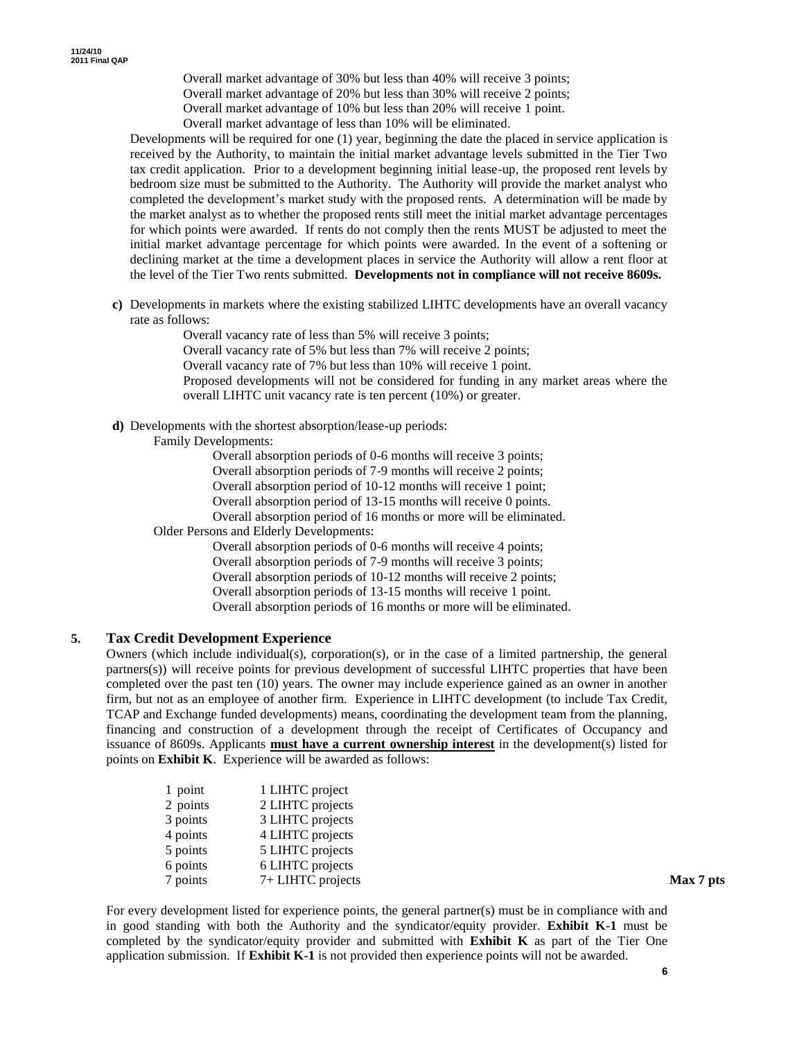Overall market advantage of 30% but less than 40% will receive 3 points;

Overall market advantage of 20% but less than 30% will receive 2 points;

Overall market advantage of 10% but less than 20% will receive 1 point.

Overall market advantage of less than 10% will be eliminated.

Developments will be required for one (1) year, beginning the date the placed in service application is received by the Authority, to maintain the initial market advantage levels submitted in the Tier Two tax credit application. Prior to a development beginning initial lease-up, the proposed rent levels by bedroom size must be submitted to the Authority. The Authority will provide the market analyst who completed the development's market study with the proposed rents. A determination will be made by the market analyst as to whether the proposed rents still meet the initial market advantage percentages for which points were awarded. If rents do not comply then the rents MUST be adjusted to meet the initial market advantage percentage for which points were awarded. In the event of a softening or declining market at the time a development places in service the Authority will allow a rent floor at the level of the Tier Two rents submitted. **Developments not in compliance will not receive 8609s.** 

**c)** Developments in markets where the existing stabilized LIHTC developments have an overall vacancy rate as follows:

> Overall vacancy rate of less than 5% will receive 3 points; Overall vacancy rate of 5% but less than 7% will receive 2 points; Overall vacancy rate of 7% but less than 10% will receive 1 point. Proposed developments will not be considered for funding in any market areas where the overall LIHTC unit vacancy rate is ten percent (10%) or greater.

**d)** Developments with the shortest absorption/lease-up periods:

Family Developments:

Overall absorption periods of 0-6 months will receive 3 points;

Overall absorption periods of 7-9 months will receive 2 points; Overall absorption period of 10-12 months will receive 1 point;

Overall absorption period of 13-15 months will receive 0 points.

Overall absorption period of 16 months or more will be eliminated.

Older Persons and Elderly Developments:

Overall absorption periods of 0-6 months will receive 4 points; Overall absorption periods of 7-9 months will receive 3 points; Overall absorption periods of 10-12 months will receive 2 points; Overall absorption periods of 13-15 months will receive 1 point. Overall absorption periods of 16 months or more will be eliminated.

### **5. Tax Credit Development Experience**

Owners (which include individual(s), corporation(s), or in the case of a limited partnership, the general partners(s)) will receive points for previous development of successful LIHTC properties that have been completed over the past ten (10) years. The owner may include experience gained as an owner in another firm, but not as an employee of another firm. Experience in LIHTC development (to include Tax Credit, TCAP and Exchange funded developments) means, coordinating the development team from the planning, financing and construction of a development through the receipt of Certificates of Occupancy and issuance of 8609s. Applicants **must have a current ownership interest** in the development(s) listed for points on **Exhibit K**. Experience will be awarded as follows:

| 1 point  | 1 LIHTC project   |           |
|----------|-------------------|-----------|
| 2 points | 2 LIHTC projects  |           |
| 3 points | 3 LIHTC projects  |           |
| 4 points | 4 LIHTC projects  |           |
| 5 points | 5 LIHTC projects  |           |
| 6 points | 6 LIHTC projects  |           |
| 7 points | 7+ LIHTC projects | Max 7 pts |

For every development listed for experience points, the general partner(s) must be in compliance with and in good standing with both the Authority and the syndicator/equity provider. **Exhibit K-1** must be completed by the syndicator/equity provider and submitted with **Exhibit K** as part of the Tier One application submission. If **Exhibit K-1** is not provided then experience points will not be awarded.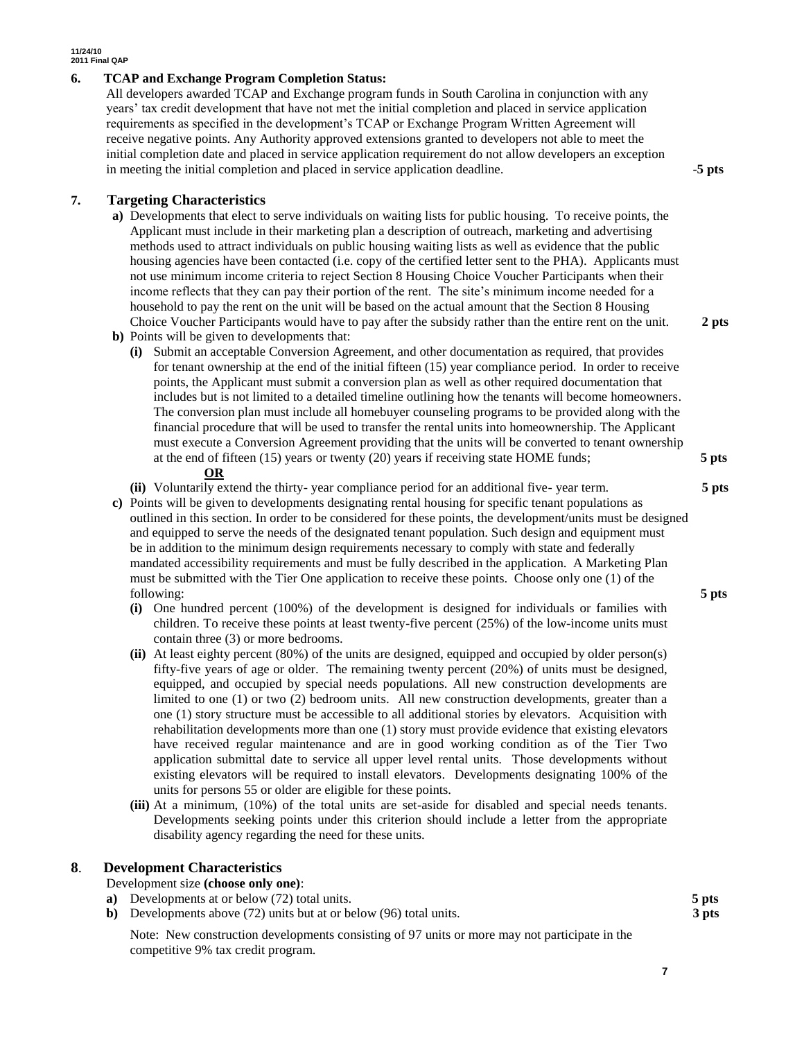#### **6. TCAP and Exchange Program Completion Status:**

All developers awarded TCAP and Exchange program funds in South Carolina in conjunction with any years' tax credit development that have not met the initial completion and placed in service application requirements as specified in the development's TCAP or Exchange Program Written Agreement will receive negative points. Any Authority approved extensions granted to developers not able to meet the initial completion date and placed in service application requirement do not allow developers an exception in meeting the initial completion and placed in service application deadline. -**5 pts**

**7. Targeting Characteristics**

**a)** Developments that elect to serve individuals on waiting lists for public housing. To receive points, the Applicant must include in their marketing plan a description of outreach, marketing and advertising methods used to attract individuals on public housing waiting lists as well as evidence that the public housing agencies have been contacted (i.e. copy of the certified letter sent to the PHA). Applicants must not use minimum income criteria to reject Section 8 Housing Choice Voucher Participants when their income reflects that they can pay their portion of the rent. The site's minimum income needed for a household to pay the rent on the unit will be based on the actual amount that the Section 8 Housing Choice Voucher Participants would have to pay after the subsidy rather than the entire rent on the unit. **2 pts**

**b)** Points will be given to developments that:

**(i)** Submit an acceptable Conversion Agreement, and other documentation as required, that provides for tenant ownership at the end of the initial fifteen (15) year compliance period. In order to receive points, the Applicant must submit a conversion plan as well as other required documentation that includes but is not limited to a detailed timeline outlining how the tenants will become homeowners. The conversion plan must include all homebuyer counseling programs to be provided along with the financial procedure that will be used to transfer the rental units into homeownership. The Applicant must execute a Conversion Agreement providing that the units will be converted to tenant ownership at the end of fifteen (15) years or twenty (20) years if receiving state HOME funds; **5 pts**

#### **OR**

**(ii)** Voluntarily extend the thirty- year compliance period for an additional five- year term. **5 pts**

- **c)** Points will be given to developments designating rental housing for specific tenant populations as outlined in this section. In order to be considered for these points, the development/units must be designed and equipped to serve the needs of the designated tenant population. Such design and equipment must be in addition to the minimum design requirements necessary to comply with state and federally mandated accessibility requirements and must be fully described in the application. A Marketing Plan must be submitted with the Tier One application to receive these points. Choose only one (1) of the following: **5 pts**
	- **(i)** One hundred percent (100%) of the development is designed for individuals or families with children. To receive these points at least twenty-five percent (25%) of the low-income units must contain three (3) or more bedrooms.
	- **(ii)** At least eighty percent (80%) of the units are designed, equipped and occupied by older person(s) fifty-five years of age or older. The remaining twenty percent (20%) of units must be designed, equipped, and occupied by special needs populations. All new construction developments are limited to one (1) or two (2) bedroom units*.* All new construction developments, greater than a one (1) story structure must be accessible to all additional stories by elevators. Acquisition with rehabilitation developments more than one (1) story must provide evidence that existing elevators have received regular maintenance and are in good working condition as of the Tier Two application submittal date to service all upper level rental units. Those developments without existing elevators will be required to install elevators. Developments designating 100% of the units for persons 55 or older are eligible for these points.
	- **(iii)** At a minimum, (10%) of the total units are set-aside for disabled and special needs tenants. Developments seeking points under this criterion should include a letter from the appropriate disability agency regarding the need for these units.

# **8**. **Development Characteristics**

- Development size **(choose only one)**:
- **a)** Developments at or below (72) total units. **5 pts**
- **b)** Developments above (72) units but at or below (96) total units. **3 pts**

Note: New construction developments consisting of 97 units or more may not participate in the competitive 9% tax credit program.

**7**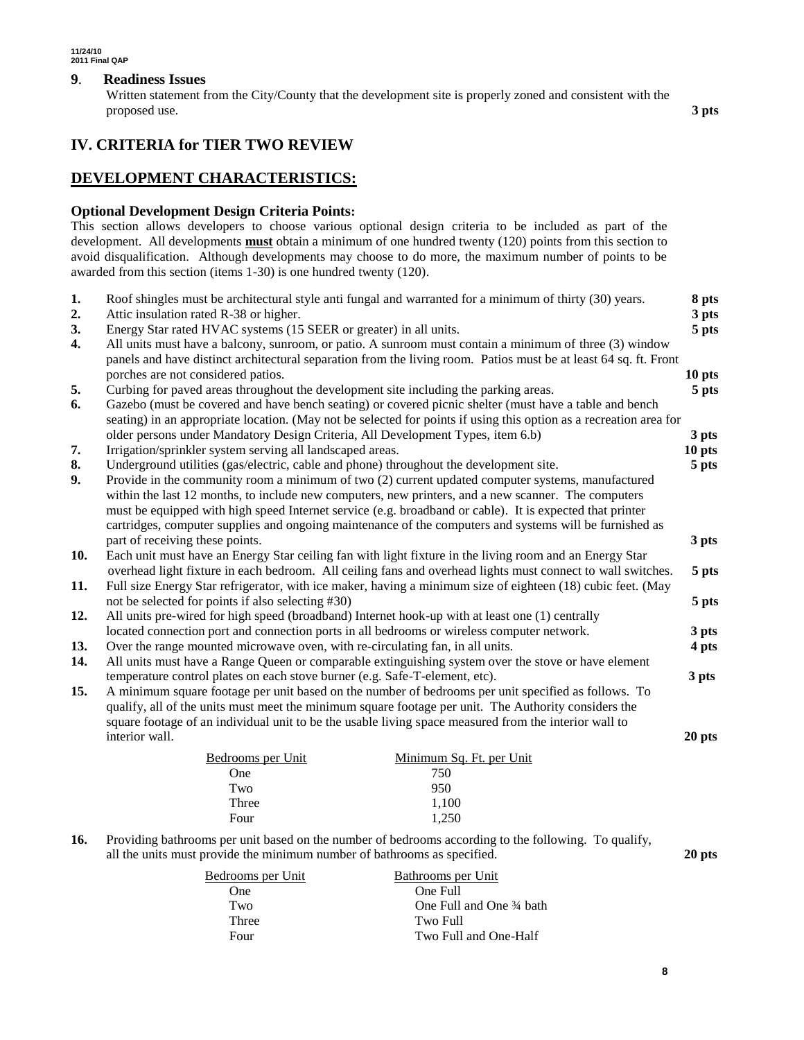### **9**. **Readiness Issues**

Written statement from the City/County that the development site is properly zoned and consistent with the proposed use. **3 pts**

# **IV. CRITERIA for TIER TWO REVIEW**

# **DEVELOPMENT CHARACTERISTICS:**

## **Optional Development Design Criteria Points:**

This section allows developers to choose various optional design criteria to be included as part of the development. All developments **must** obtain a minimum of one hundred twenty (120) points from this section to avoid disqualification. Although developments may choose to do more, the maximum number of points to be awarded from this section (items 1-30) is one hundred twenty (120).

| 1.  | Roof shingles must be architectural style anti fungal and warranted for a minimum of thirty (30) years.            | 8 pts  |
|-----|--------------------------------------------------------------------------------------------------------------------|--------|
| 2.  | Attic insulation rated R-38 or higher.                                                                             | 3 pts  |
| 3.  | Energy Star rated HVAC systems (15 SEER or greater) in all units.                                                  | 5 pts  |
| 4.  | All units must have a balcony, sunroom, or patio. A sunroom must contain a minimum of three (3) window             |        |
|     | panels and have distinct architectural separation from the living room. Patios must be at least 64 sq. ft. Front   |        |
|     | porches are not considered patios.                                                                                 | 10 pts |
| 5.  | Curbing for paved areas throughout the development site including the parking areas.                               | 5 pts  |
| 6.  | Gazebo (must be covered and have bench seating) or covered picnic shelter (must have a table and bench             |        |
|     | seating) in an appropriate location. (May not be selected for points if using this option as a recreation area for |        |
|     | older persons under Mandatory Design Criteria, All Development Types, item 6.b)                                    | 3 pts  |
| 7.  | Irrigation/sprinkler system serving all landscaped areas.                                                          | 10 pts |
| 8.  | Underground utilities (gas/electric, cable and phone) throughout the development site.                             | 5 pts  |
| 9.  | Provide in the community room a minimum of two (2) current updated computer systems, manufactured                  |        |
|     | within the last 12 months, to include new computers, new printers, and a new scanner. The computers                |        |
|     | must be equipped with high speed Internet service (e.g. broadband or cable). It is expected that printer           |        |
|     | cartridges, computer supplies and ongoing maintenance of the computers and systems will be furnished as            |        |
|     | part of receiving these points.                                                                                    | 3 pts  |
| 10. | Each unit must have an Energy Star ceiling fan with light fixture in the living room and an Energy Star            |        |
|     | overhead light fixture in each bedroom. All ceiling fans and overhead lights must connect to wall switches.        | 5 pts  |
| 11. | Full size Energy Star refrigerator, with ice maker, having a minimum size of eighteen (18) cubic feet. (May        |        |
|     | not be selected for points if also selecting #30)                                                                  | 5 pts  |
| 12. | All units pre-wired for high speed (broadband) Internet hook-up with at least one (1) centrally                    |        |
|     | located connection port and connection ports in all bedrooms or wireless computer network.                         | 3 pts  |
| 13. | Over the range mounted microwave oven, with re-circulating fan, in all units.                                      | 4 pts  |
| 14. | All units must have a Range Queen or comparable extinguishing system over the stove or have element                |        |
|     | temperature control plates on each stove burner (e.g. Safe-T-element, etc).                                        | 3 pts  |
| 15. | A minimum square footage per unit based on the number of bedrooms per unit specified as follows. To                |        |
|     | qualify, all of the units must meet the minimum square footage per unit. The Authority considers the               |        |
|     | square footage of an individual unit to be the usable living space measured from the interior wall to              |        |
|     | interior wall.                                                                                                     | 20 pts |
|     | Minimum Sq. Ft. per Unit<br>Bedrooms per Unit                                                                      |        |
|     | 750<br>One                                                                                                         |        |
|     | 950<br>Two                                                                                                         |        |
|     | Three<br>1,100                                                                                                     |        |
|     | Four<br>1,250                                                                                                      |        |
|     |                                                                                                                    |        |

#### **16.** Providing bathrooms per unit based on the number of bedrooms according to the following. To qualify, all the units must provide the minimum number of bathrooms as specified. **20 pts**

| Bedrooms per Unit | Bathrooms per Unit       |  |
|-------------------|--------------------------|--|
| One               | One Full                 |  |
| Two               | One Full and One 34 bath |  |
| Three             | Two Full                 |  |
| Four              | Two Full and One-Half    |  |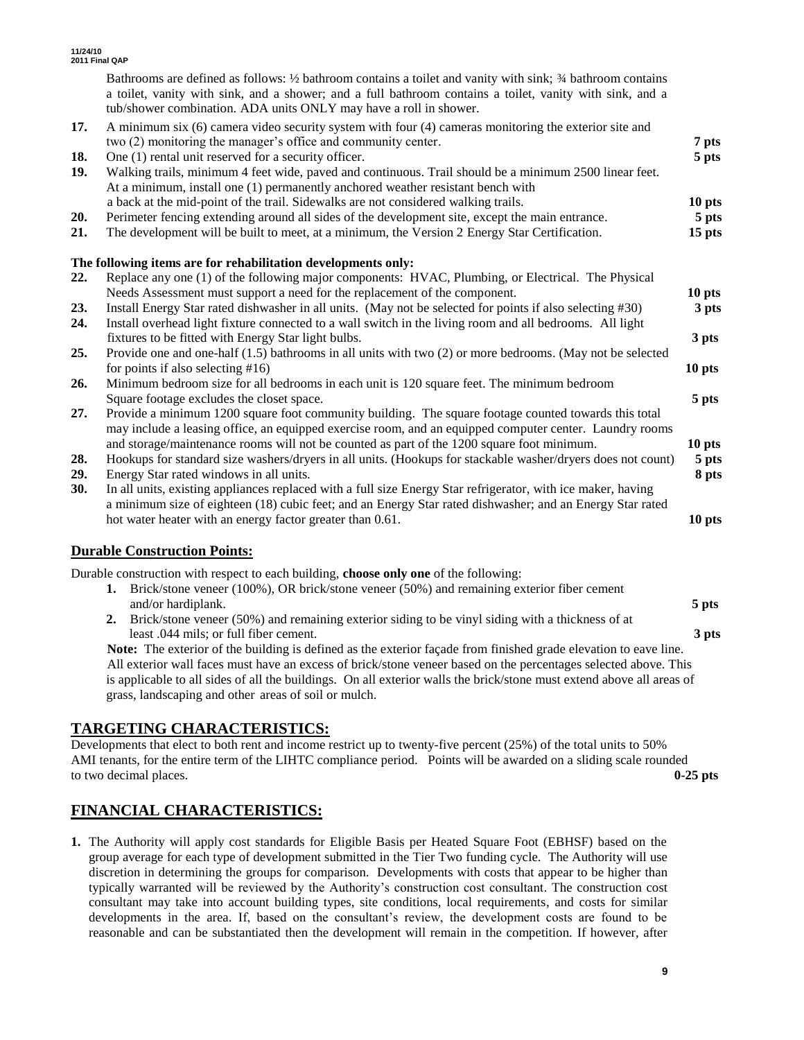|     | Bathrooms are defined as follows: 1/2 bathroom contains a toilet and vanity with sink; 3/4 bathroom contains<br>a toilet, vanity with sink, and a shower; and a full bathroom contains a toilet, vanity with sink, and a<br>tub/shower combination. ADA units ONLY may have a roll in shower. |                   |
|-----|-----------------------------------------------------------------------------------------------------------------------------------------------------------------------------------------------------------------------------------------------------------------------------------------------|-------------------|
| 17. | A minimum six (6) camera video security system with four (4) cameras monitoring the exterior site and<br>two (2) monitoring the manager's office and community center.                                                                                                                        | 7 pts             |
| 18. | One (1) rental unit reserved for a security officer.                                                                                                                                                                                                                                          | 5 pts             |
| 19. | Walking trails, minimum 4 feet wide, paved and continuous. Trail should be a minimum 2500 linear feet.<br>At a minimum, install one (1) permanently anchored weather resistant bench with                                                                                                     |                   |
|     | a back at the mid-point of the trail. Sidewalks are not considered walking trails.                                                                                                                                                                                                            | 10 pts            |
| 20. | Perimeter fencing extending around all sides of the development site, except the main entrance.                                                                                                                                                                                               | 5 pts             |
| 21. | The development will be built to meet, at a minimum, the Version 2 Energy Star Certification.                                                                                                                                                                                                 | 15 pts            |
|     | The following items are for rehabilitation developments only:                                                                                                                                                                                                                                 |                   |
| 22. | Replace any one (1) of the following major components: HVAC, Plumbing, or Electrical. The Physical                                                                                                                                                                                            |                   |
|     | Needs Assessment must support a need for the replacement of the component.                                                                                                                                                                                                                    | 10 pts            |
| 23. | Install Energy Star rated dishwasher in all units. (May not be selected for points if also selecting #30)                                                                                                                                                                                     | 3 pts             |
| 24. | Install overhead light fixture connected to a wall switch in the living room and all bedrooms. All light                                                                                                                                                                                      |                   |
|     | fixtures to be fitted with Energy Star light bulbs.                                                                                                                                                                                                                                           | 3 pts             |
| 25. | Provide one and one-half (1.5) bathrooms in all units with two (2) or more bedrooms. (May not be selected                                                                                                                                                                                     |                   |
|     | for points if also selecting $#16$ )                                                                                                                                                                                                                                                          | 10 pts            |
| 26. | Minimum bedroom size for all bedrooms in each unit is 120 square feet. The minimum bedroom                                                                                                                                                                                                    |                   |
|     | Square footage excludes the closet space.                                                                                                                                                                                                                                                     | 5 pts             |
| 27. | Provide a minimum 1200 square foot community building. The square footage counted towards this total<br>may include a leasing office, an equipped exercise room, and an equipped computer center. Laundry rooms                                                                               |                   |
|     | and storage/maintenance rooms will not be counted as part of the 1200 square foot minimum.                                                                                                                                                                                                    | 10 <sub>pts</sub> |
| 28. | Hookups for standard size washers/dryers in all units. (Hookups for stackable washer/dryers does not count)                                                                                                                                                                                   | 5 pts             |
| 29. | Energy Star rated windows in all units.                                                                                                                                                                                                                                                       | 8 pts             |
| 30. | In all units, existing appliances replaced with a full size Energy Star refrigerator, with ice maker, having                                                                                                                                                                                  |                   |
|     | a minimum size of eighteen (18) cubic feet; and an Energy Star rated dishwasher; and an Energy Star rated                                                                                                                                                                                     |                   |
|     | hot water heater with an energy factor greater than 0.61.                                                                                                                                                                                                                                     | 10 pts            |

# **Durable Construction Points:**

Durable construction with respect to each building, **choose only one** of the following:

**1.** Brick/stone veneer (100%), OR brick/stone veneer (50%) and remaining exterior fiber cement and/or hardiplank. **5 pts 2.** Brick/stone veneer (50%) and remaining exterior siding to be vinyl siding with a thickness of at least .044 mils; or full fiber cement. **3 pts Note:** The exterior of the building is defined as the exterior façade from finished grade elevation to eave line.

All exterior wall faces must have an excess of brick/stone veneer based on the percentages selected above. This is applicable to all sides of all the buildings. On all exterior walls the brick/stone must extend above all areas of grass, landscaping and other areas of soil or mulch.

# **TARGETING CHARACTERISTICS:**

Developments that elect to both rent and income restrict up to twenty-five percent (25%) of the total units to 50% AMI tenants, for the entire term of the LIHTC compliance period. Points will be awarded on a sliding scale rounded to two decimal places. **0-25 pts**

# **FINANCIAL CHARACTERISTICS:**

**1.** The Authority will apply cost standards for Eligible Basis per Heated Square Foot (EBHSF) based on the group average for each type of development submitted in the Tier Two funding cycle. The Authority will use discretion in determining the groups for comparison. Developments with costs that appear to be higher than typically warranted will be reviewed by the Authority's construction cost consultant. The construction cost consultant may take into account building types, site conditions, local requirements, and costs for similar developments in the area. If, based on the consultant's review, the development costs are found to be reasonable and can be substantiated then the development will remain in the competition. If however, after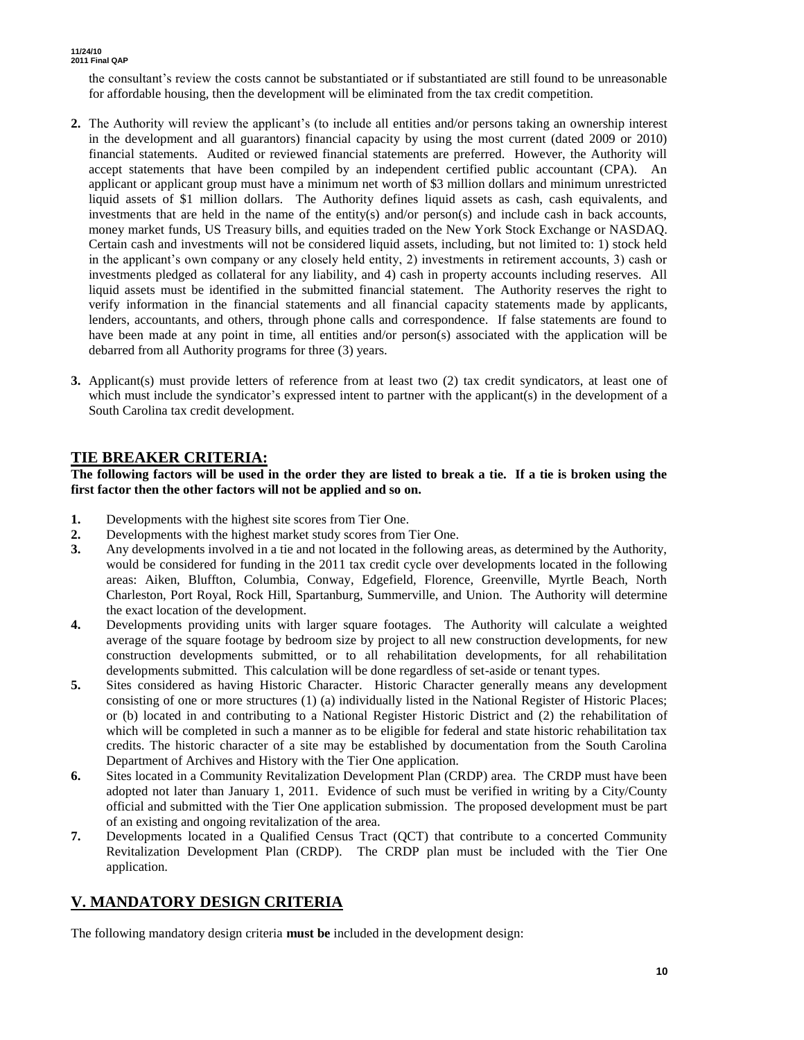the consultant's review the costs cannot be substantiated or if substantiated are still found to be unreasonable for affordable housing, then the development will be eliminated from the tax credit competition.

- **2.** The Authority will review the applicant's (to include all entities and/or persons taking an ownership interest in the development and all guarantors) financial capacity by using the most current (dated 2009 or 2010) financial statements. Audited or reviewed financial statements are preferred. However, the Authority will accept statements that have been compiled by an independent certified public accountant (CPA). An applicant or applicant group must have a minimum net worth of \$3 million dollars and minimum unrestricted liquid assets of \$1 million dollars. The Authority defines liquid assets as cash, cash equivalents, and investments that are held in the name of the entity(s) and/or person(s) and include cash in back accounts, money market funds, US Treasury bills, and equities traded on the New York Stock Exchange or NASDAQ. Certain cash and investments will not be considered liquid assets, including, but not limited to: 1) stock held in the applicant's own company or any closely held entity, 2) investments in retirement accounts, 3) cash or investments pledged as collateral for any liability, and 4) cash in property accounts including reserves. All liquid assets must be identified in the submitted financial statement. The Authority reserves the right to verify information in the financial statements and all financial capacity statements made by applicants, lenders, accountants, and others, through phone calls and correspondence. If false statements are found to have been made at any point in time, all entities and/or person(s) associated with the application will be debarred from all Authority programs for three (3) years.
- **3.** Applicant(s) must provide letters of reference from at least two (2) tax credit syndicators, at least one of which must include the syndicator's expressed intent to partner with the applicant(s) in the development of a South Carolina tax credit development.

# **TIE BREAKER CRITERIA:**

**The following factors will be used in the order they are listed to break a tie. If a tie is broken using the first factor then the other factors will not be applied and so on.**

- **1.** Developments with the highest site scores from Tier One.
- **2.** Developments with the highest market study scores from Tier One.
- **3.** Any developments involved in a tie and not located in the following areas, as determined by the Authority, would be considered for funding in the 2011 tax credit cycle over developments located in the following areas: Aiken, Bluffton, Columbia, Conway, Edgefield, Florence, Greenville, Myrtle Beach, North Charleston, Port Royal, Rock Hill, Spartanburg, Summerville, and Union. The Authority will determine the exact location of the development.
- **4.** Developments providing units with larger square footages. The Authority will calculate a weighted average of the square footage by bedroom size by project to all new construction developments, for new construction developments submitted, or to all rehabilitation developments, for all rehabilitation developments submitted. This calculation will be done regardless of set-aside or tenant types.
- **5.** Sites considered as having Historic Character. Historic Character generally means any development consisting of one or more structures (1) (a) individually listed in the National Register of Historic Places; or (b) located in and contributing to a National Register Historic District and (2) the rehabilitation of which will be completed in such a manner as to be eligible for federal and state historic rehabilitation tax credits. The historic character of a site may be established by documentation from the South Carolina Department of Archives and History with the Tier One application.
- **6.** Sites located in a Community Revitalization Development Plan (CRDP) area. The CRDP must have been adopted not later than January 1, 2011. Evidence of such must be verified in writing by a City/County official and submitted with the Tier One application submission. The proposed development must be part of an existing and ongoing revitalization of the area.
- **7.** Developments located in a Qualified Census Tract (QCT) that contribute to a concerted Community Revitalization Development Plan (CRDP). The CRDP plan must be included with the Tier One application.

# **V. MANDATORY DESIGN CRITERIA**

The following mandatory design criteria **must be** included in the development design: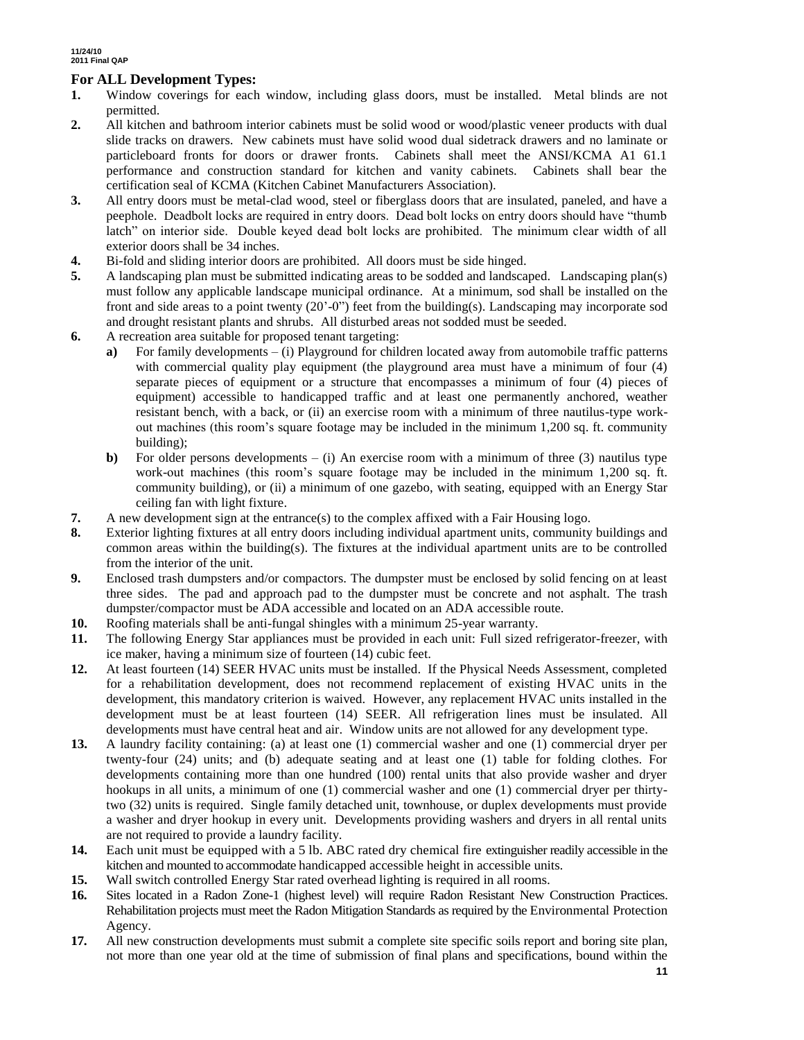# **For ALL Development Types:**

- **1.** Window coverings for each window, including glass doors, must be installed. Metal blinds are not permitted.
- **2.** All kitchen and bathroom interior cabinets must be solid wood or wood/plastic veneer products with dual slide tracks on drawers. New cabinets must have solid wood dual sidetrack drawers and no laminate or particleboard fronts for doors or drawer fronts. Cabinets shall meet the ANSI/KCMA A1 61.1 performance and construction standard for kitchen and vanity cabinets. Cabinets shall bear the certification seal of KCMA (Kitchen Cabinet Manufacturers Association).
- **3.** All entry doors must be metal-clad wood, steel or fiberglass doors that are insulated, paneled, and have a peephole. Deadbolt locks are required in entry doors. Dead bolt locks on entry doors should have "thumb latch" on interior side. Double keyed dead bolt locks are prohibited. The minimum clear width of all exterior doors shall be 34 inches.
- **4.** Bi-fold and sliding interior doors are prohibited. All doors must be side hinged.
- **5.** A landscaping plan must be submitted indicating areas to be sodded and landscaped. Landscaping plan(s) must follow any applicable landscape municipal ordinance. At a minimum, sod shall be installed on the front and side areas to a point twenty (20'-0") feet from the building(s). Landscaping may incorporate sod and drought resistant plants and shrubs. All disturbed areas not sodded must be seeded.
- **6.** A recreation area suitable for proposed tenant targeting:
	- **a)** For family developments (i) Playground for children located away from automobile traffic patterns with commercial quality play equipment (the playground area must have a minimum of four (4) separate pieces of equipment or a structure that encompasses a minimum of four (4) pieces of equipment) accessible to handicapped traffic and at least one permanently anchored, weather resistant bench, with a back, or (ii) an exercise room with a minimum of three nautilus-type workout machines (this room's square footage may be included in the minimum 1,200 sq. ft. community building);
	- **b**) For older persons developments (i) An exercise room with a minimum of three (3) nautilus type work-out machines (this room's square footage may be included in the minimum 1,200 sq. ft. community building), or (ii) a minimum of one gazebo, with seating, equipped with an Energy Star ceiling fan with light fixture.
- **7.** A new development sign at the entrance(s) to the complex affixed with a Fair Housing logo.
- **8.** Exterior lighting fixtures at all entry doors including individual apartment units, community buildings and common areas within the building(s). The fixtures at the individual apartment units are to be controlled from the interior of the unit.
- **9.** Enclosed trash dumpsters and/or compactors. The dumpster must be enclosed by solid fencing on at least three sides. The pad and approach pad to the dumpster must be concrete and not asphalt. The trash dumpster/compactor must be ADA accessible and located on an ADA accessible route.
- **10.** Roofing materials shall be anti-fungal shingles with a minimum 25-year warranty.
- **11.** The following Energy Star appliances must be provided in each unit: Full sized refrigerator-freezer, with ice maker, having a minimum size of fourteen (14) cubic feet.
- **12.** At least fourteen (14) SEER HVAC units must be installed. If the Physical Needs Assessment, completed for a rehabilitation development, does not recommend replacement of existing HVAC units in the development, this mandatory criterion is waived. However, any replacement HVAC units installed in the development must be at least fourteen (14) SEER. All refrigeration lines must be insulated. All developments must have central heat and air. Window units are not allowed for any development type.
- **13.** A laundry facility containing: (a) at least one (1) commercial washer and one (1) commercial dryer per twenty-four (24) units; and (b) adequate seating and at least one (1) table for folding clothes. For developments containing more than one hundred (100) rental units that also provide washer and dryer hookups in all units, a minimum of one (1) commercial washer and one (1) commercial dryer per thirtytwo (32) units is required. Single family detached unit, townhouse, or duplex developments must provide a washer and dryer hookup in every unit. Developments providing washers and dryers in all rental units are not required to provide a laundry facility.
- **14.** Each unit must be equipped with a 5 lb. ABC rated dry chemical fire extinguisher readily accessible in the kitchen and mounted to accommodate handicapped accessible height in accessible units.
- **15.** Wall switch controlled Energy Star rated overhead lighting is required in all rooms.
- **16.** Sites located in a Radon Zone-1 (highest level) will require Radon Resistant New Construction Practices. Rehabilitation projects must meet the Radon Mitigation Standards as required by the Environmental Protection Agency.
- **17.** All new construction developments must submit a complete site specific soils report and boring site plan, not more than one year old at the time of submission of final plans and specifications, bound within the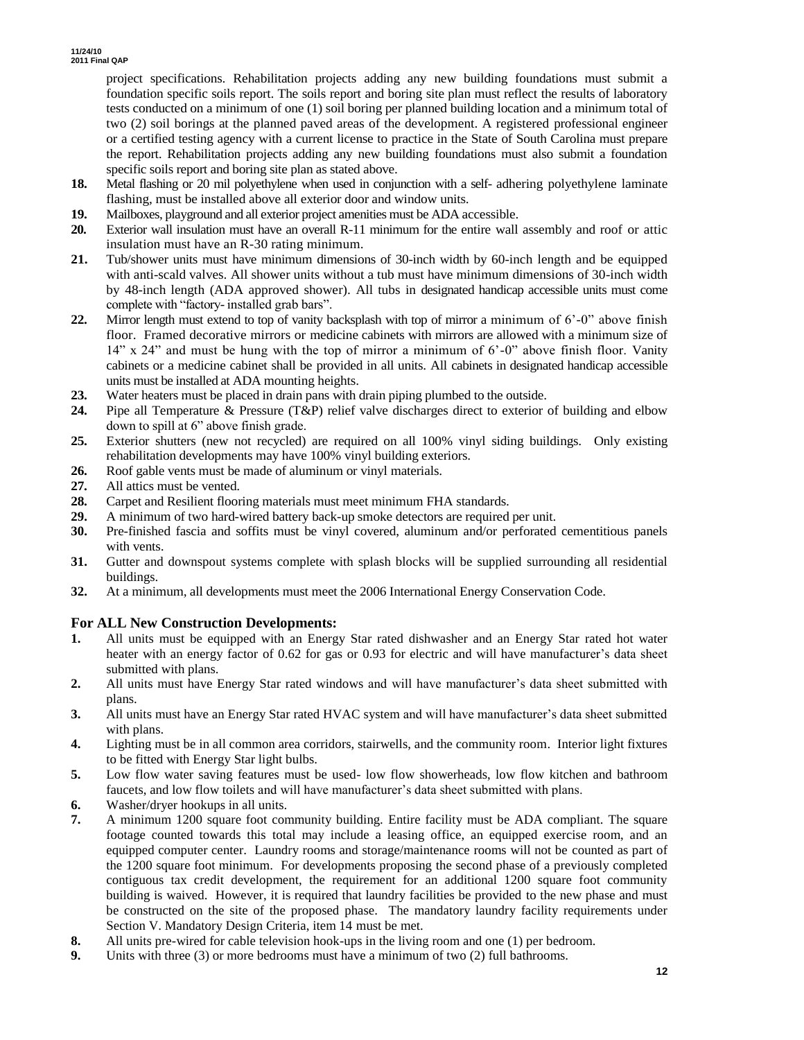project specifications. Rehabilitation projects adding any new building foundations must submit a foundation specific soils report. The soils report and boring site plan must reflect the results of laboratory tests conducted on a minimum of one (1) soil boring per planned building location and a minimum total of two (2) soil borings at the planned paved areas of the development. A registered professional engineer or a certified testing agency with a current license to practice in the State of South Carolina must prepare the report. Rehabilitation projects adding any new building foundations must also submit a foundation specific soils report and boring site plan as stated above.

- **18.** Metal flashing or 20 mil polyethylene when used in conjunction with a self- adhering polyethylene laminate flashing, must be installed above all exterior door and window units.
- **19.** Mailboxes, playground and all exterior project amenities must be ADA accessible.
- **20.** Exterior wall insulation must have an overall R-11 minimum for the entire wall assembly and roof or attic insulation must have an R-30 rating minimum.
- **21.** Tub/shower units must have minimum dimensions of 30-inch width by 60-inch length and be equipped with anti-scald valves. All shower units without a tub must have minimum dimensions of 30-inch width by 48-inch length (ADA approved shower). All tubs in designated handicap accessible units must come complete with "factory- installed grab bars".
- **22.** Mirror length must extend to top of vanity backsplash with top of mirror a minimum of 6'-0" above finish floor. Framed decorative mirrors or medicine cabinets with mirrors are allowed with a minimum size of  $14$ " x 24" and must be hung with the top of mirror a minimum of 6'-0" above finish floor. Vanity cabinets or a medicine cabinet shall be provided in all units. All cabinets in designated handicap accessible units must be installed at ADA mounting heights.
- **23.** Water heaters must be placed in drain pans with drain piping plumbed to the outside.
- **24.** Pipe all Temperature & Pressure (T&P) relief valve discharges direct to exterior of building and elbow down to spill at 6" above finish grade.
- **25.** Exterior shutters (new not recycled) are required on all 100% vinyl siding buildings. Only existing rehabilitation developments may have 100% vinyl building exteriors.
- **26.** Roof gable vents must be made of aluminum or vinyl materials.
- **27.** All attics must be vented.
- **28.** Carpet and Resilient flooring materials must meet minimum FHA standards.
- **29.** A minimum of two hard-wired battery back-up smoke detectors are required per unit.
- **30.** Pre-finished fascia and soffits must be vinyl covered, aluminum and/or perforated cementitious panels with vents.
- **31.** Gutter and downspout systems complete with splash blocks will be supplied surrounding all residential buildings.
- **32.** At a minimum, all developments must meet the 2006 International Energy Conservation Code.

# **For ALL New Construction Developments:**

- **1.** All units must be equipped with an Energy Star rated dishwasher and an Energy Star rated hot water heater with an energy factor of 0.62 for gas or 0.93 for electric and will have manufacturer's data sheet submitted with plans.
- **2.** All units must have Energy Star rated windows and will have manufacturer's data sheet submitted with plans.
- **3.** All units must have an Energy Star rated HVAC system and will have manufacturer's data sheet submitted with plans.
- **4.** Lighting must be in all common area corridors, stairwells, and the community room. Interior light fixtures to be fitted with Energy Star light bulbs.
- **5.** Low flow water saving features must be used- low flow showerheads, low flow kitchen and bathroom faucets, and low flow toilets and will have manufacturer's data sheet submitted with plans.
- **6.** Washer/dryer hookups in all units.
- **7.** A minimum 1200 square foot community building. Entire facility must be ADA compliant. The square footage counted towards this total may include a leasing office, an equipped exercise room, and an equipped computer center. Laundry rooms and storage/maintenance rooms will not be counted as part of the 1200 square foot minimum. For developments proposing the second phase of a previously completed contiguous tax credit development, the requirement for an additional 1200 square foot community building is waived. However, it is required that laundry facilities be provided to the new phase and must be constructed on the site of the proposed phase. The mandatory laundry facility requirements under Section V. Mandatory Design Criteria, item 14 must be met.
- **8.** All units pre-wired for cable television hook-ups in the living room and one (1) per bedroom.
- **9.** Units with three (3) or more bedrooms must have a minimum of two (2) full bathrooms.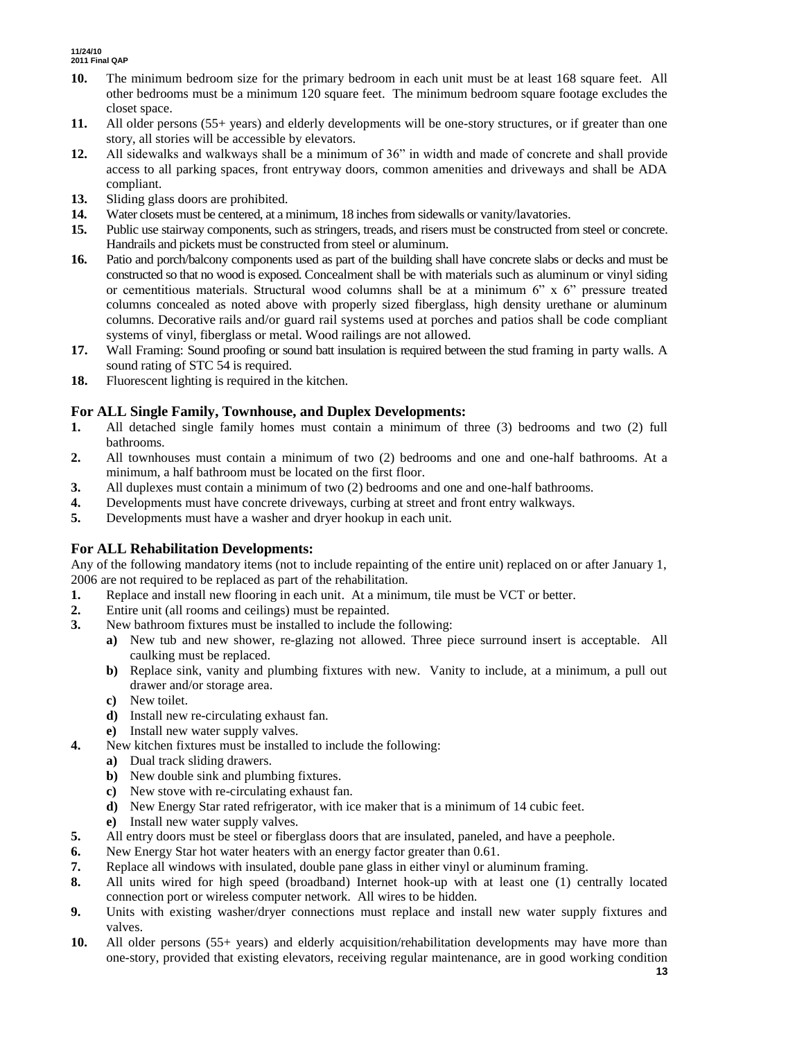- **10.** The minimum bedroom size for the primary bedroom in each unit must be at least 168 square feet. All other bedrooms must be a minimum 120 square feet. The minimum bedroom square footage excludes the closet space.
- **11.** All older persons (55+ years) and elderly developments will be one-story structures, or if greater than one story, all stories will be accessible by elevators.
- **12.** All sidewalks and walkways shall be a minimum of 36" in width and made of concrete and shall provide access to all parking spaces, front entryway doors, common amenities and driveways and shall be ADA compliant.
- **13.** Sliding glass doors are prohibited.
- **14.** Water closets must be centered, at a minimum, 18 inches from sidewalls or vanity/lavatories.
- **15.** Public use stairway components, such as stringers, treads, and risers must be constructed from steel or concrete. Handrails and pickets must be constructed from steel or aluminum.
- **16.** Patio and porch/balcony components used as part of the building shall have concrete slabs or decks and must be constructed so that no wood is exposed. Concealment shall be with materials such as aluminum or vinyl siding or cementitious materials. Structural wood columns shall be at a minimum 6" x 6" pressure treated columns concealed as noted above with properly sized fiberglass, high density urethane or aluminum columns. Decorative rails and/or guard rail systems used at porches and patios shall be code compliant systems of vinyl, fiberglass or metal. Wood railings are not allowed.
- **17.** Wall Framing: Sound proofing or sound batt insulation is required between the stud framing in party walls. A sound rating of STC 54 is required.
- **18.** Fluorescent lighting is required in the kitchen.

# **For ALL Single Family, Townhouse, and Duplex Developments:**

- **1.** All detached single family homes must contain a minimum of three (3) bedrooms and two (2) full bathrooms.
- **2.** All townhouses must contain a minimum of two (2) bedrooms and one and one-half bathrooms. At a minimum, a half bathroom must be located on the first floor.
- **3.** All duplexes must contain a minimum of two (2) bedrooms and one and one-half bathrooms.
- **4.** Developments must have concrete driveways, curbing at street and front entry walkways.
- **5.** Developments must have a washer and dryer hookup in each unit.

# **For ALL Rehabilitation Developments:**

Any of the following mandatory items (not to include repainting of the entire unit) replaced on or after January 1, 2006 are not required to be replaced as part of the rehabilitation.

- **1.** Replace and install new flooring in each unit. At a minimum, tile must be VCT or better.
- **2.** Entire unit (all rooms and ceilings) must be repainted.
- **3.** New bathroom fixtures must be installed to include the following:
	- **a)** New tub and new shower, re-glazing not allowed. Three piece surround insert is acceptable. All caulking must be replaced.
	- **b)** Replace sink, vanity and plumbing fixtures with new. Vanity to include, at a minimum, a pull out drawer and/or storage area.
	- **c)** New toilet.
	- **d)** Install new re-circulating exhaust fan.
	- **e)** Install new water supply valves.
- **4.** New kitchen fixtures must be installed to include the following:
	- **a)** Dual track sliding drawers.
	- **b)** New double sink and plumbing fixtures.
	- **c)** New stove with re-circulating exhaust fan.
	- **d)** New Energy Star rated refrigerator, with ice maker that is a minimum of 14 cubic feet.
	- **e)** Install new water supply valves.
- **5.** All entry doors must be steel or fiberglass doors that are insulated, paneled, and have a peephole.
- **6.** New Energy Star hot water heaters with an energy factor greater than 0.61.
- **7.** Replace all windows with insulated, double pane glass in either vinyl or aluminum framing.
- **8.** All units wired for high speed (broadband) Internet hook-up with at least one (1) centrally located connection port or wireless computer network. All wires to be hidden.
- **9.** Units with existing washer/dryer connections must replace and install new water supply fixtures and valves.
- **10.** All older persons (55+ years) and elderly acquisition/rehabilitation developments may have more than one-story, provided that existing elevators, receiving regular maintenance, are in good working condition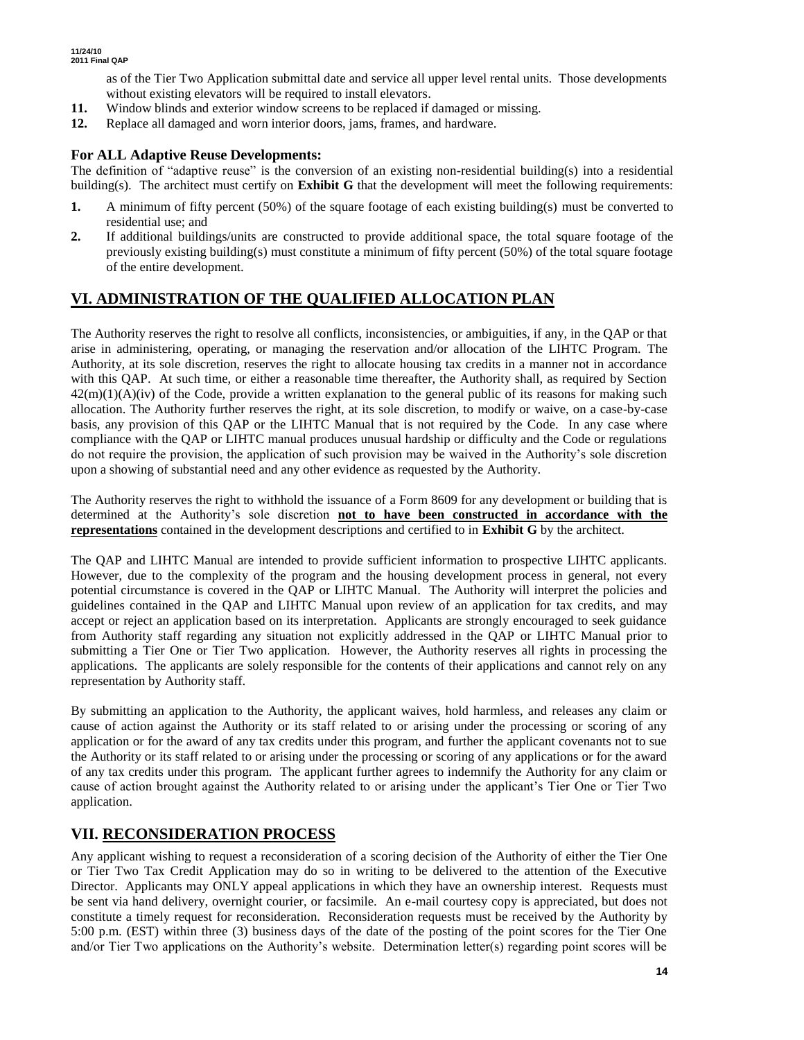as of the Tier Two Application submittal date and service all upper level rental units. Those developments without existing elevators will be required to install elevators.

- **11.** Window blinds and exterior window screens to be replaced if damaged or missing.
- **12.** Replace all damaged and worn interior doors, jams, frames, and hardware.

## **For ALL Adaptive Reuse Developments:**

The definition of "adaptive reuse" is the conversion of an existing non-residential building(s) into a residential building(s). The architect must certify on **Exhibit G** that the development will meet the following requirements:

- **1.** A minimum of fifty percent (50%) of the square footage of each existing building(s) must be converted to residential use; and
- **2.** If additional buildings/units are constructed to provide additional space, the total square footage of the previously existing building(s) must constitute a minimum of fifty percent (50%) of the total square footage of the entire development.

# **VI. ADMINISTRATION OF THE QUALIFIED ALLOCATION PLAN**

The Authority reserves the right to resolve all conflicts, inconsistencies, or ambiguities, if any, in the QAP or that arise in administering, operating, or managing the reservation and/or allocation of the LIHTC Program. The Authority, at its sole discretion, reserves the right to allocate housing tax credits in a manner not in accordance with this QAP. At such time, or either a reasonable time thereafter, the Authority shall, as required by Section  $42(m)(1)(A)(iv)$  of the Code, provide a written explanation to the general public of its reasons for making such allocation. The Authority further reserves the right, at its sole discretion, to modify or waive, on a case-by-case basis, any provision of this QAP or the LIHTC Manual that is not required by the Code. In any case where compliance with the QAP or LIHTC manual produces unusual hardship or difficulty and the Code or regulations do not require the provision, the application of such provision may be waived in the Authority's sole discretion upon a showing of substantial need and any other evidence as requested by the Authority.

The Authority reserves the right to withhold the issuance of a Form 8609 for any development or building that is determined at the Authority's sole discretion **not to have been constructed in accordance with the representations** contained in the development descriptions and certified to in **Exhibit G** by the architect.

The QAP and LIHTC Manual are intended to provide sufficient information to prospective LIHTC applicants. However, due to the complexity of the program and the housing development process in general, not every potential circumstance is covered in the QAP or LIHTC Manual. The Authority will interpret the policies and guidelines contained in the QAP and LIHTC Manual upon review of an application for tax credits, and may accept or reject an application based on its interpretation. Applicants are strongly encouraged to seek guidance from Authority staff regarding any situation not explicitly addressed in the QAP or LIHTC Manual prior to submitting a Tier One or Tier Two application. However, the Authority reserves all rights in processing the applications. The applicants are solely responsible for the contents of their applications and cannot rely on any representation by Authority staff.

By submitting an application to the Authority, the applicant waives, hold harmless, and releases any claim or cause of action against the Authority or its staff related to or arising under the processing or scoring of any application or for the award of any tax credits under this program, and further the applicant covenants not to sue the Authority or its staff related to or arising under the processing or scoring of any applications or for the award of any tax credits under this program. The applicant further agrees to indemnify the Authority for any claim or cause of action brought against the Authority related to or arising under the applicant's Tier One or Tier Two application.

# **VII. RECONSIDERATION PROCESS**

Any applicant wishing to request a reconsideration of a scoring decision of the Authority of either the Tier One or Tier Two Tax Credit Application may do so in writing to be delivered to the attention of the Executive Director. Applicants may ONLY appeal applications in which they have an ownership interest. Requests must be sent via hand delivery, overnight courier, or facsimile. An e-mail courtesy copy is appreciated, but does not constitute a timely request for reconsideration. Reconsideration requests must be received by the Authority by 5:00 p.m. (EST) within three (3) business days of the date of the posting of the point scores for the Tier One and/or Tier Two applications on the Authority's website. Determination letter(s) regarding point scores will be